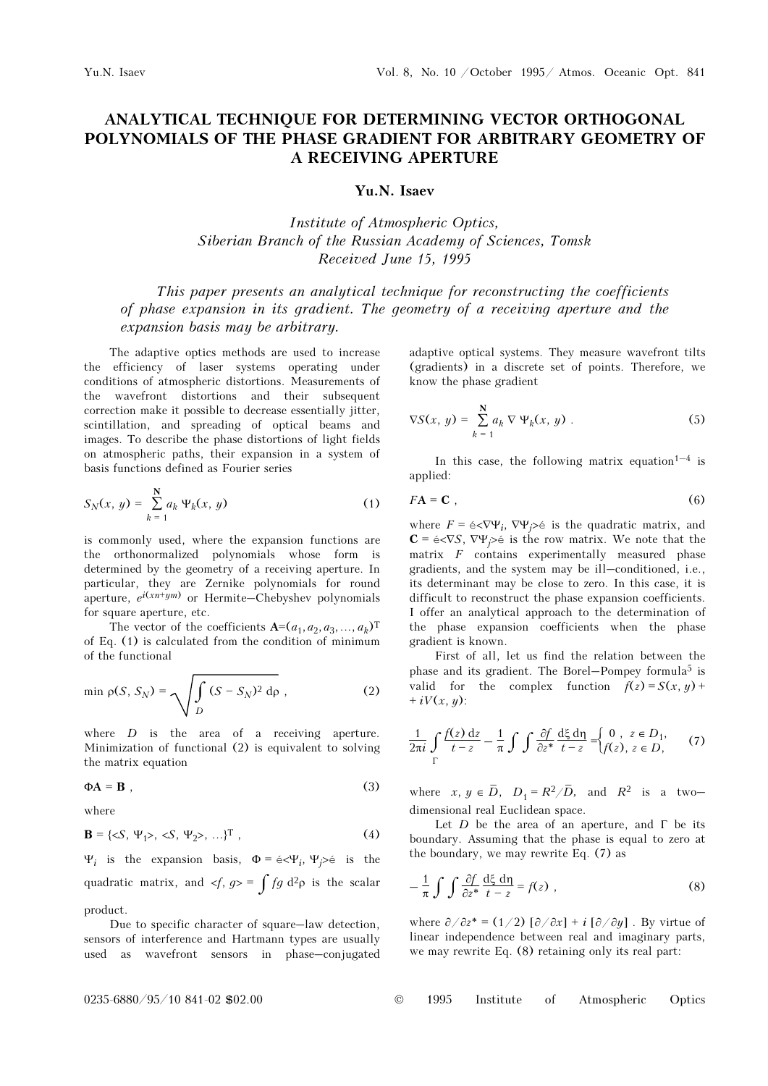## ANALYTICAL TECHNIQUE FOR DETERMINING VECTOR ORTHOGONAL POLYNOMIALS OF THE PHASE GRADIENT FOR ARBITRARY GEOMETRY OF A RECEIVING APERTURE

Yu.N. Isaev

Institute of Atmospheric Optics, Siberian Branch of the Russian Academy of Sciences, Tomsk Received June 15, 1995

This paper presents an analytical technique for reconstructing the coefficients of phase expansion in its gradient. The geometry of a receiving aperture and the expansion basis may be arbitrary.

The adaptive optics methods are used to increase the efficiency of laser systems operating under conditions of atmospheric distortions. Measurements of the wavefront distortions and their subsequent correction make it possible to decrease essentially jitter, scintillation, and spreading of optical beams and images. To describe the phase distortions of light fields on atmospheric paths, their expansion in a system of basis functions defined as Fourier series

$$
S_N(x, y) = \sum_{k=1}^{N} a_k \Psi_k(x, y)
$$
 (1)

is commonly used, where the expansion functions are the orthonormalized polynomials whose form is determined by the geometry of a receiving aperture. In particular, they are Zernike polynomials for round aperture,  $e^{i(xn+ym)}$  or Hermite–Chebyshev polynomials for square aperture, etc.

The vector of the coefficients  $A=(a_1,a_2,a_3,...,a_k)$ <sup>T</sup> of Eq. (1) is calculated from the condition of minimum of the functional

$$
\min \rho(S, S_N) = \sqrt{\int_D (S - S_N)^2 \, \mathrm{d}\rho},\tag{2}
$$

where  $D$  is the area of a receiving aperture. Minimization of functional (2) is equivalent to solving the matrix equation

$$
\Phi \mathbf{A} = \mathbf{B} \tag{3}
$$

where

$$
\mathbf{B} = \{\langle S, \Psi_1 \rangle, \langle S, \Psi_2 \rangle, \ldots \}^{\mathrm{T}} \,, \tag{4}
$$

Ψ<sub>i</sub> is the expansion basis,  $Φ = e < Ψ$ <sub>i</sub>, Ψ<sub>i</sub>>é is the quadratic matrix, and  $\langle f, g \rangle = \int f g d^2 \rho$  is the scalar product.

Due to specific character of square–law detection, sensors of interference and Hartmann types are usually used as wavefront sensors in phase–conjugated adaptive optical systems. They measure wavefront tilts (gradients) in a discrete set of points. Therefore, we know the phase gradient

$$
\nabla S(x, y) = \sum_{k=1}^{N} a_k \nabla \Psi_k(x, y) \tag{5}
$$

In this case, the following matrix equation<sup>1–4</sup> is applied:

$$
FA = \mathbf{C} \tag{6}
$$

where  $F = \epsilon \langle \nabla \Psi_i, \nabla \Psi_j \rangle \epsilon$  is the quadratic matrix, and  $C = \frac{\epsilon}{\sqrt{S}}, \nabla \Psi_i \geq \epsilon$  is the row matrix. We note that the matrix  $F$  contains experimentally measured phase gradients, and the system may be ill–conditioned, i.e., its determinant may be close to zero. In this case, it is difficult to reconstruct the phase expansion coefficients. I offer an analytical approach to the determination of the phase expansion coefficients when the phase gradient is known.

First of all, let us find the relation between the phase and its gradient. The Borel–Pompey formula<sup>5</sup> is valid for the complex function  $f(z) = S(x, y) +$  $+ iV(x, y)$ :

$$
\frac{1}{2\pi i} \int\limits_{\Gamma} \frac{f(z) \, dz}{t - z} - \frac{1}{\pi} \int\int \frac{\partial f}{\partial z^*} \frac{d\xi \, d\eta}{t - z} = \begin{cases} 0, & z \in D_1, \\ f(z), & z \in D, \end{cases} \tag{7}
$$

where  $x, y \in \overline{D}$ ,  $D_1 = R^2/\overline{D}$ , and  $R^2$  is a twodimensional real Euclidean space.

Let  $D$  be the area of an aperture, and  $\Gamma$  be its boundary. Assuming that the phase is equal to zero at the boundary, we may rewrite Eq. (7) as

$$
-\frac{1}{\pi} \int \int \frac{\partial f}{\partial z^*} \frac{d\xi}{t - z} d\eta = f(z) , \qquad (8)
$$

where  $\partial/\partial z^* = (1/2) [\partial/\partial x] + i [\partial/\partial y]$ . By virtue of linear independence between real and imaginary parts, we may rewrite Eq. (8) retaining only its real part: